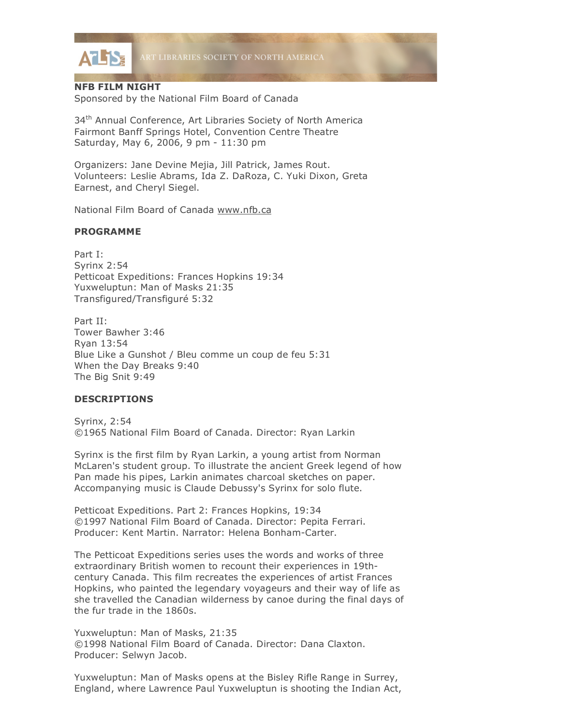

# **NFB FILM NIGHT**

Sponsored by the National Film Board of Canada

34<sup>th</sup> Annual Conference, Art Libraries Society of North America Fairmont Banff Springs Hotel, Convention Centre Theatre Saturday, May 6, 2006, 9 pm - 11:30 pm

Organizers: Jane Devine Mejia, Jill Patrick, James Rout. Volunteers: Leslie Abrams, Ida Z. DaRoza, C. Yuki Dixon, Greta Earnest, and Cheryl Siegel.

National Film Board of Canada www.nfb.ca

# **PROGRAMME**

Part I: Syrinx 2:54 Petticoat Expeditions: Frances Hopkins 19:34 Yuxweluptun: Man of Masks 21:35 Transfigured/Transfiguré 5:32

Part II: Tower Bawher 3:46 Ryan 13:54 Blue Like a Gunshot / Bleu comme un coup de feu 5:31 When the Day Breaks 9:40 The Big Snit 9:49

### **DESCRIPTIONS**

Syrinx, 2:54 ©1965 National Film Board of Canada. Director: Ryan Larkin

Syrinx is the first film by Ryan Larkin, a young artist from Norman McLaren's student group. To illustrate the ancient Greek legend of how Pan made his pipes, Larkin animates charcoal sketches on paper. Accompanying music is Claude Debussy's Syrinx for solo flute.

Petticoat Expeditions. Part 2: Frances Hopkins, 19:34 ©1997 National Film Board of Canada. Director: Pepita Ferrari. Producer: Kent Martin. Narrator: Helena Bonham-Carter.

The Petticoat Expeditions series uses the words and works of three extraordinary British women to recount their experiences in 19thcentury Canada. This film recreates the experiences of artist Frances Hopkins, who painted the legendary voyageurs and their way of life as she travelled the Canadian wilderness by canoe during the final days of the fur trade in the 1860s.

Yuxweluptun: Man of Masks, 21:35 ©1998 National Film Board of Canada. Director: Dana Claxton. Producer: Selwyn Jacob.

Yuxweluptun: Man of Masks opens at the Bisley Rifle Range in Surrey, England, where Lawrence Paul Yuxweluptun is shooting the Indian Act,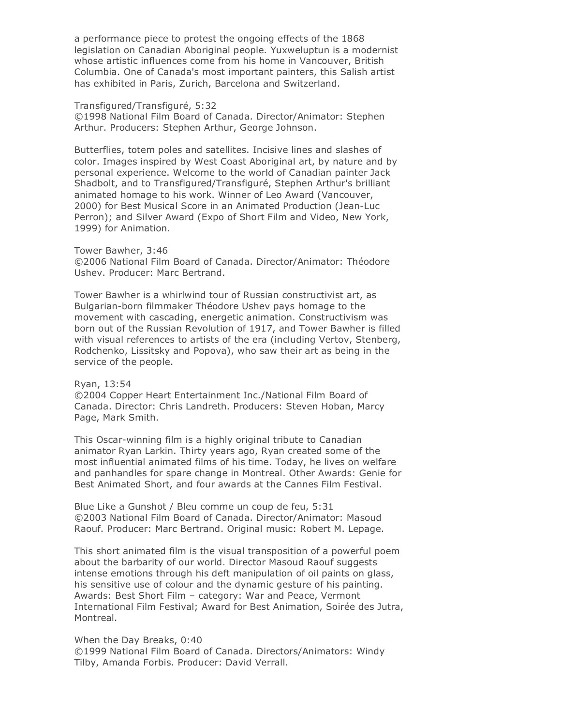a performance piece to protest the ongoing effects of the 1868 legislation on Canadian Aboriginal people. Yuxweluptun is a modernist whose artistic influences come from his home in Vancouver, British Columbia. One of Canada's most important painters, this Salish artist has exhibited in Paris, Zurich, Barcelona and Switzerland.

Transfigured/Transfiguré, 5:32

©1998 National Film Board of Canada. Director/Animator: Stephen Arthur. Producers: Stephen Arthur, George Johnson.

Butterflies, totem poles and satellites. Incisive lines and slashes of color. Images inspired by West Coast Aboriginal art, by nature and by personal experience. Welcome to the world of Canadian painter Jack Shadbolt, and to Transfigured/Transfiguré, Stephen Arthur's brilliant animated homage to his work. Winner of Leo Award (Vancouver, 2000) for Best Musical Score in an Animated Production (Jean-Luc Perron); and Silver Award (Expo of Short Film and Video, New York, 1999) for Animation.

Tower Bawher, 3:46 ©2006 National Film Board of Canada. Director/Animator: Théodore Ushev. Producer: Marc Bertrand.

Tower Bawher is a whirlwind tour of Russian constructivist art, as Bulgarian-born filmmaker Théodore Ushev pays homage to the movement with cascading, energetic animation. Constructivism was born out of the Russian Revolution of 1917, and Tower Bawher is filled with visual references to artists of the era (including Vertov, Stenberg, Rodchenko, Lissitsky and Popova), who saw their art as being in the service of the people.

#### Ryan, 13:54

©2004 Copper Heart Entertainment Inc./National Film Board of Canada. Director: Chris Landreth. Producers: Steven Hoban, Marcy Page, Mark Smith.

This Oscar-winning film is a highly original tribute to Canadian animator Ryan Larkin. Thirty years ago, Ryan created some of the most influential animated films of his time. Today, he lives on welfare and panhandles for spare change in Montreal. Other Awards: Genie for Best Animated Short, and four awards at the Cannes Film Festival.

Blue Like a Gunshot / Bleu comme un coup de feu, 5:31 ©2003 National Film Board of Canada. Director/Animator: Masoud Raouf. Producer: Marc Bertrand. Original music: Robert M. Lepage.

This short animated film is the visual transposition of a powerful poem about the barbarity of our world. Director Masoud Raouf suggests intense emotions through his deft manipulation of oil paints on glass, his sensitive use of colour and the dynamic gesture of his painting. Awards: Best Short Film – category: War and Peace, Vermont International Film Festival; Award for Best Animation, Soirée des Jutra, Montreal.

# When the Day Breaks, 0:40

©1999 National Film Board of Canada. Directors/Animators: Windy Tilby, Amanda Forbis. Producer: David Verrall.